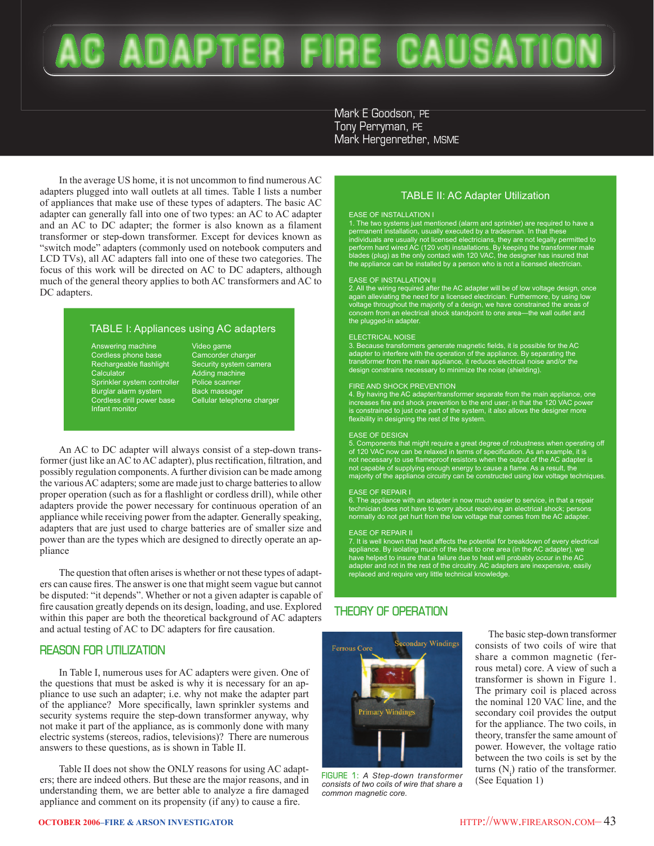# C ADAPTER FURE CAUSATIO

Mark E Goodson, PE Tony Perryman, PE Mark Hergenrether, MSME

In the average US home, it is not uncommon to find numerous AC adapters plugged into wall outlets at all times. Table I lists a number of appliances that make use of these types of adapters. The basic AC adapter can generally fall into one of two types: an AC to AC adapter and an AC to DC adapter; the former is also known as a filament transformer or step-down transformer. Except for devices known as "switch mode" adapters (commonly used on notebook computers and LCD TVs), all AC adapters fall into one of these two categories. The focus of this work will be directed on AC to DC adapters, although much of the general theory applies to both AC transformers and AC to DC adapters.

# TABLE I: Appliances using AC adapters

Answering machine Cordless phone base Rechargeable flashlight **Calculator** Sprinkler system controller Burglar alarm system Cordless drill power base Infant monitor

Video game Camcorder charger Security system camera Adding machine Police scanner Back massager Cellular telephone charger

 An AC to DC adapter will always consist of a step-down transformer (just like an AC to AC adapter), plus rectification, filtration, and possibly regulation components. A further division can be made among the various AC adapters; some are made just to charge batteries to allow proper operation (such as for a flashlight or cordless drill), while other adapters provide the power necessary for continuous operation of an appliance while receiving power from the adapter. Generally speaking, adapters that are just used to charge batteries are of smaller size and power than are the types which are designed to directly operate an appliance

 The question that often arises is whether or not these types of adapters can cause fires. The answer is one that might seem vague but cannot be disputed: "it depends". Whether or not a given adapter is capable of fire causation greatly depends on its design, loading, and use. Explored within this paper are both the theoretical background of AC adapters and actual testing of AC to DC adapters for fire causation.

# **REASON FOR UTILIZATION**

 In Table I, numerous uses for AC adapters were given. One of the questions that must be asked is why it is necessary for an appliance to use such an adapter; i.e. why not make the adapter part of the appliance? More specifically, lawn sprinkler systems and security systems require the step-down transformer anyway, why not make it part of the appliance, as is commonly done with many electric systems (stereos, radios, televisions)? There are numerous answers to these questions, as is shown in Table II.

 Table II does not show the ONLY reasons for using AC adapters; there are indeed others. But these are the major reasons, and in understanding them, we are better able to analyze a fire damaged appliance and comment on its propensity (if any) to cause a fire.

# TABLE II: AC Adapter Utilization

EASE OF INSTALLATION I<br>1. The two systems just mentioned (alarm and sprinkler) are required to have a<br>permanent installation, usually executed by a tradesman. In that these<br>premanent installation, usually rot licensed elec the appliance can be installed by a person who is not a licensed electrician.

### EASE OF INSTALLATION II

2. All the wiring required after the AC adapter will be of low voltage design, once again alleviating the need for a licensed electrician. Furthermore, by using low voltage throughout the majority of a design, we have constrained the areas of concern from an electrical shock standpoint to one area—the wall outlet and the plugged-in adapter

#### ELECTRICAL NOISE

3. Because transformers generate magnetic fields, it is possible for the AC adapter to interfere with the operation of the appliance. By separating the transformer from the main appliance, it reduces electrical noise and/or the design constrains necessary to minimize the noise (shielding).

#### FIRE AND SHOCK PREVENTION

4. By having the AC adapter/transformer separate from the main appliance, one increases fire and shock prevention to the end user; in that the 120 VAC power is constrained to just one part of the system, it also allows the designer more flexibility in designing the rest of the system.

#### EASE OF DESIGN

5. Components that might require a great degree of robustness when operating off of 120 VAC now can be relaxed in terms of specification. As an example, it is not necessary to use flameproof resistors when the output of the AC adapter is not capable of supplying enough energy to cause a flame. As a result, the majority of the appliance circuitry can be constructed using low voltage techniques.

#### EASE OF REPAIR I

6. The appliance with an adapter in now much easier to service, in that a repair technician does not have to worry about receiving an electrical shock; persons normally do not get hurt from the low voltage that comes from the AC adapter.

#### EASE OF REPAIR II

7. It is well known that heat affects the potential for breakdown of every electrical appliance. By isolating much of the heat to one area (in the AC adapter), we have helped to insure that a failure due to heat will probably occur in the AC adapter and not in the rest of the circuitry. AC adapters are inexpensive, easily replaced and require very little technical knowledge.

# **THEORY OF OPERATION**



**FIGURE 1:** *A Step-down transformer consists of two coils of wire that share a common magnetic core.*

 The basic step-down transformer consists of two coils of wire that share a common magnetic (ferrous metal) core. A view of such a transformer is shown in Figure 1. The primary coil is placed across the nominal 120 VAC line, and the secondary coil provides the output for the appliance. The two coils, in theory, transfer the same amount of power. However, the voltage ratio between the two coils is set by the turns  $(N_i)$  ratio of the transformer. (See Equation 1)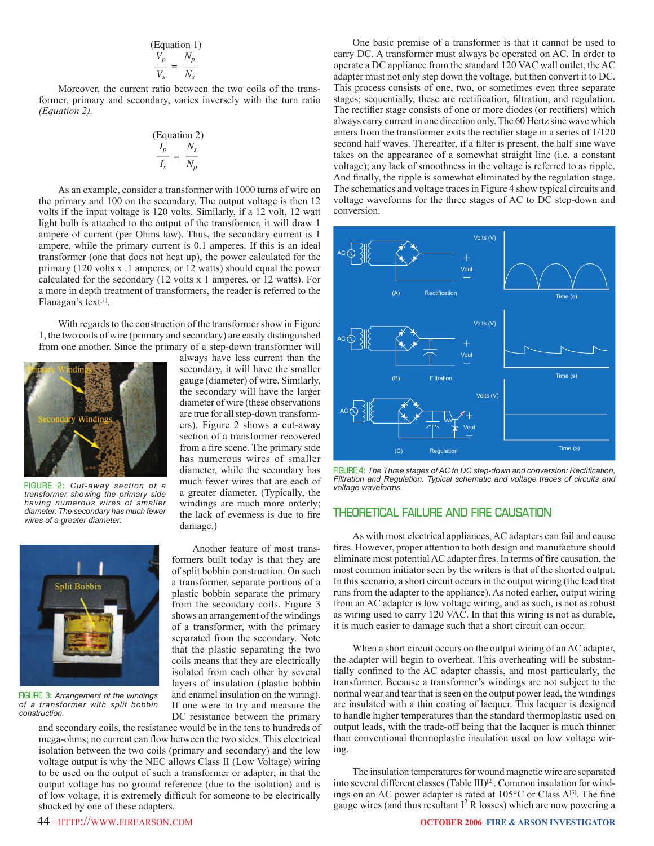$$
\frac{V_p}{V_s} = \frac{N_p}{N_s}
$$

 Moreover, the current ratio between the two coils of the transformer, primary and secondary, varies inversely with the turn ratio *(Equation 2).*

$$
\frac{I_p}{I_s} = \frac{N_s}{N_p}
$$

 As an example, consider a transformer with 1000 turns of wire on the primary and 100 on the secondary. The output voltage is then 12 volts if the input voltage is 120 volts. Similarly, if a 12 volt, 12 watt light bulb is attached to the output of the transformer, it will draw 1 ampere of current (per Ohms law). Thus, the secondary current is 1 ampere, while the primary current is 0.1 amperes. If this is an ideal transformer (one that does not heat up), the power calculated for the primary (120 volts x .1 amperes, or 12 watts) should equal the power calculated for the secondary (12 volts x 1 amperes, or 12 watts). For a more in depth treatment of transformers, the reader is referred to the Flanagan's text<sup>[1]</sup>.

 With regards to the construction of the transformer show in Figure 1, the two coils of wire (primary and secondary) are easily distinguished from one another. Since the primary of a step-down transformer will



**FIGURE 2:** *Cut-away section of a transformer showing the primary side having numerous wires of smaller diameter. The secondary has much fewer wires of a greater diameter.*



**FIGURE 3:** *Arrangement of the windings of a transformer with split bobbin construction.*

always have less current than the secondary, it will have the smaller gauge (diameter) of wire. Similarly, the secondary will have the larger diameter of wire (these observations are true for all step-down transformers). Figure 2 shows a cut-away section of a transformer recovered from a fire scene. The primary side has numerous wires of smaller diameter, while the secondary has much fewer wires that are each of a greater diameter. (Typically, the windings are much more orderly; the lack of evenness is due to fire damage.)

 Another feature of most transformers built today is that they are of split bobbin construction. On such a transformer, separate portions of a plastic bobbin separate the primary from the secondary coils. Figure 3 shows an arrangement of the windings of a transformer, with the primary separated from the secondary. Note that the plastic separating the two coils means that they are electrically isolated from each other by several layers of insulation (plastic bobbin and enamel insulation on the wiring). If one were to try and measure the DC resistance between the primary

and secondary coils, the resistance would be in the tens to hundreds of mega-ohms; no current can flow between the two sides. This electrical isolation between the two coils (primary and secondary) and the low voltage output is why the NEC allows Class II (Low Voltage) wiring to be used on the output of such a transformer or adapter; in that the output voltage has no ground reference (due to the isolation) and is of low voltage, it is extremely difficult for someone to be electrically shocked by one of these adapters.

 One basic premise of a transformer is that it cannot be used to carry DC. A transformer must always be operated on AC. In order to operate a DC appliance from the standard 120 VAC wall outlet, the AC adapter must not only step down the voltage, but then convert it to DC. This process consists of one, two, or sometimes even three separate stages; sequentially, these are rectification, filtration, and regulation. The rectifier stage consists of one or more diodes (or rectifiers) which always carry current in one direction only. The 60 Hertz sine wave which enters from the transformer exits the rectifier stage in a series of  $1/120$ second half waves. Thereafter, if a filter is present, the half sine wave takes on the appearance of a somewhat straight line (i.e. a constant voltage); any lack of smoothness in the voltage is referred to as ripple. And finally, the ripple is somewhat eliminated by the regulation stage. The schematics and voltage traces in Figure 4 show typical circuits and voltage waveforms for the three stages of AC to DC step-down and conversion.



FIGURE 4: The Three stages of AC to DC step-down and conversion: Rectification, *Filtration and Regulation. Typical schematic and voltage traces of circuits and voltage waveforms.*

# **THEORETICAL FAILURE AND FIRE CAUSATION**

 As with most electrical appliances, AC adapters can fail and cause fires. However, proper attention to both design and manufacture should eliminate most potential AC adapter fires. In terms of fire causation, the most common initiator seen by the writers is that of the shorted output. In this scenario, a short circuit occurs in the output wiring (the lead that runs from the adapter to the appliance). As noted earlier, output wiring from an AC adapter is low voltage wiring, and as such, is not as robust as wiring used to carry 120 VAC. In that this wiring is not as durable, it is much easier to damage such that a short circuit can occur.

 When a short circuit occurs on the output wiring of an AC adapter, the adapter will begin to overheat. This overheating will be substantially confined to the AC adapter chassis, and most particularly, the transformer. Because a transformer's windings are not subject to the normal wear and tear that is seen on the output power lead, the windings are insulated with a thin coating of lacquer. This lacquer is designed to handle higher temperatures than the standard thermoplastic used on output leads, with the trade-off being that the lacquer is much thinner than conventional thermoplastic insulation used on low voltage wiring.

 The insulation temperatures for wound magnetic wire are separated into several different classes (Table III)<sup>[2]</sup>. Common insulation for windings on an AC power adapter is rated at  $105^{\circ}$ C or Class A<sup>[3]</sup>. The fine gauge wires (and thus resultant  $I^2$  R losses) which are now powering a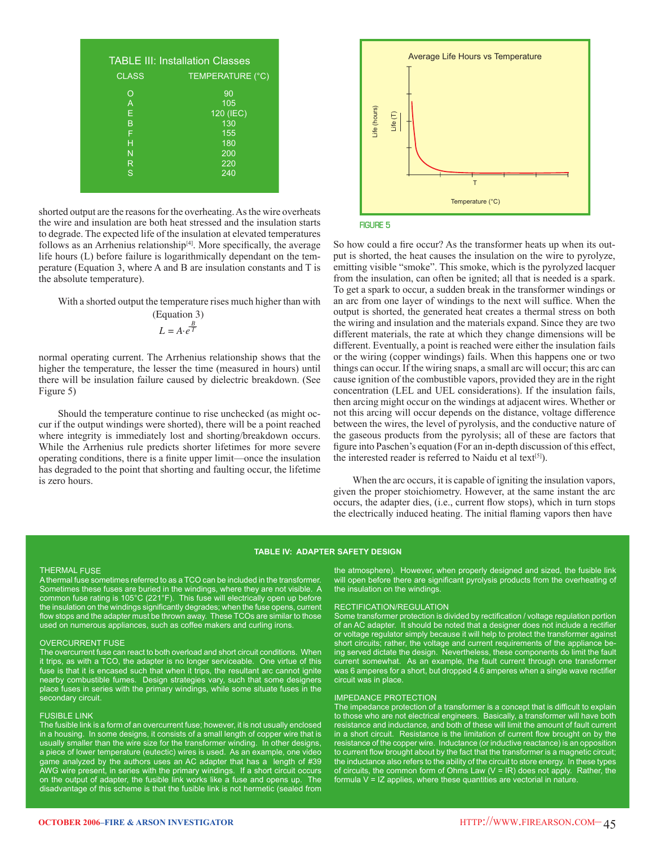| <b>TABLE III: Installation Classes</b> |                                                           |  |  |  |  |  |
|----------------------------------------|-----------------------------------------------------------|--|--|--|--|--|
| <b>CLASS</b>                           | TEMPERATURE (°C)                                          |  |  |  |  |  |
| O<br>A<br>Е<br>B<br>F<br>н<br>N<br>R   | 90<br>105<br>120 (IEC)<br>130<br>155<br>180<br>200<br>220 |  |  |  |  |  |
| S                                      | 240                                                       |  |  |  |  |  |

shorted output are the reasons for the overheating. As the wire overheats the wire and insulation are both heat stressed and the insulation starts to degrade. The expected life of the insulation at elevated temperatures follows as an Arrhenius relationship $[4]$ . More specifically, the average life hours (L) before failure is logarithmically dependant on the temperature (Equation 3, where A and B are insulation constants and T is the absolute temperature).

With a shorted output the temperature rises much higher than with

(Equation 3)  

$$
L = A \cdot e^{\frac{B}{T}}
$$

normal operating current. The Arrhenius relationship shows that the higher the temperature, the lesser the time (measured in hours) until there will be insulation failure caused by dielectric breakdown. (See Figure 5)

 Should the temperature continue to rise unchecked (as might occur if the output windings were shorted), there will be a point reached where integrity is immediately lost and shorting/breakdown occurs. While the Arrhenius rule predicts shorter lifetimes for more severe operating conditions, there is a finite upper limit—once the insulation has degraded to the point that shorting and faulting occur, the lifetime is zero hours.





So how could a fire occur? As the transformer heats up when its output is shorted, the heat causes the insulation on the wire to pyrolyze, emitting visible "smoke". This smoke, which is the pyrolyzed lacquer from the insulation, can often be ignited; all that is needed is a spark. To get a spark to occur, a sudden break in the transformer windings or an arc from one layer of windings to the next will suffice. When the output is shorted, the generated heat creates a thermal stress on both the wiring and insulation and the materials expand. Since they are two different materials, the rate at which they change dimensions will be different. Eventually, a point is reached were either the insulation fails or the wiring (copper windings) fails. When this happens one or two things can occur. If the wiring snaps, a small arc will occur; this arc can cause ignition of the combustible vapors, provided they are in the right concentration (LEL and UEL considerations). If the insulation fails, then arcing might occur on the windings at adjacent wires. Whether or not this arcing will occur depends on the distance, voltage difference between the wires, the level of pyrolysis, and the conductive nature of the gaseous products from the pyrolysis; all of these are factors that figure into Paschen's equation (For an in-depth discussion of this effect, the interested reader is referred to Naidu et al text $[5]$ ).

When the arc occurs, it is capable of igniting the insulation vapors, given the proper stoichiometry. However, at the same instant the arc occurs, the adapter dies, (i.e., current flow stops), which in turn stops the electrically induced heating. The initial flaming vapors then have

#### **TABLE IV: ADAPTER SAFETY DESIGN**

#### THERMAL FUSE

A thermal fuse sometimes referred to as a TCO can be included in the transformer. Sometimes these fuses are buried in the windings, where they are not visible. A common fuse rating is 105°C (221°F). This fuse will electrically open up before the insulation on the windings significantly degrades; when the fuse opens, current flow stops and the adapter must be thrown away. These TCOs are similar to those used on numerous appliances, such as coffee makers and curling irons.

#### OVERCURRENT FUSE

The overcurrent fuse can react to both overload and short circuit conditions. When it trips, as with a TCO, the adapter is no longer serviceable. One virtue of this fuse is that it is encased such that when it trips, the resultant arc cannot ignite nearby combustible fumes. Design strategies vary, such that some designers place fuses in series with the primary windings, while some situate fuses in the secondary circuit.

#### FUSIBLE LINK

The fusible link is a form of an overcurrent fuse; however, it is not usually enclosed in a housing. In some designs, it consists of a small length of copper wire that is usually smaller than the wire size for the transformer winding. In other designs, a piece of lower temperature (eutectic) wires is used. As an example, one video game analyzed by the authors uses an AC adapter that has a length of #39 AWG wire present, in series with the primary windings. If a short circuit occurs on the output of adapter, the fusible link works like a fuse and opens up. The disadvantage of this scheme is that the fusible link is not hermetic (sealed from

the atmosphere). However, when properly designed and sized, the fusible link will open before there are significant pyrolysis products from the overheating of the insulation on the windings.

#### RECTIFICATION/REGULATION

Some transformer protection is divided by rectification / voltage regulation portion of an AC adapter. It should be noted that a designer does not include a rectifier or voltage regulator simply because it will help to protect the transformer against short circuits; rather, the voltage and current requirements of the appliance being served dictate the design. Nevertheless, these components do limit the fault current somewhat. As an example, the fault current through one transformer was 6 amperes for a short, but dropped 4.6 amperes when a single wave rectifier circuit was in place.

#### IMPEDANCE PROTECTION

The impedance protection of a transformer is a concept that is difficult to explain to those who are not electrical engineers. Basically, a transformer will have both resistance and inductance, and both of these will limit the amount of fault current in a short circuit. Resistance is the limitation of current flow brought on by the resistance of the copper wire. Inductance (or inductive reactance) is an opposition to current flow brought about by the fact that the transformer is a magnetic circuit; the inductance also refers to the ability of the circuit to store energy. In these types of circuits, the common form of Ohms Law  $(V = IR)$  does not apply. Rather, the formula  $V = IZ$  applies, where these quantities are vectorial in nature.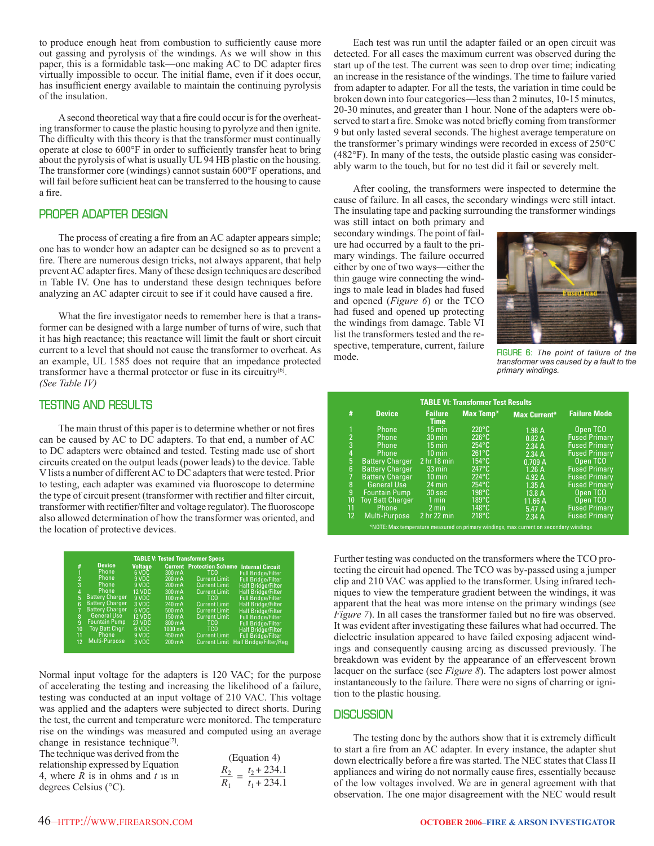to produce enough heat from combustion to sufficiently cause more out gassing and pyrolysis of the windings. As we will show in this paper, this is a formidable task—one making AC to DC adapter fires virtually impossible to occur. The initial flame, even if it does occur, has insufficient energy available to maintain the continuing pyrolysis of the insulation.

A second theoretical way that a fire could occur is for the overheating transformer to cause the plastic housing to pyrolyze and then ignite. The difficulty with this theory is that the transformer must continually operate at close to  $600^{\circ}$ F in order to sufficiently transfer heat to bring about the pyrolysis of what is usually UL 94 HB plastic on the housing. The transformer core (windings) cannot sustain 600°F operations, and will fail before sufficient heat can be transferred to the housing to cause a fire.

# **PROPER ADAPTER DESIGN**

The process of creating a fire from an AC adapter appears simple; one has to wonder how an adapter can be designed so as to prevent a fire. There are numerous design tricks, not always apparent, that help prevent AC adapter fires. Many of these design techniques are described in Table IV. One has to understand these design techniques before analyzing an AC adapter circuit to see if it could have caused a fire.

What the fire investigator needs to remember here is that a transformer can be designed with a large number of turns of wire, such that it has high reactance; this reactance will limit the fault or short circuit current to a level that should not cause the transformer to overheat. As an example, UL 1585 does not require that an impedance protected transformer have a thermal protector or fuse in its circuitry[6]. *(See Table IV)*

# **TESTING AND RESULTS**

The main thrust of this paper is to determine whether or not fires can be caused by AC to DC adapters. To that end, a number of AC to DC adapters were obtained and tested. Testing made use of short circuits created on the output leads (power leads) to the device. Table V lists a number of different AC to DC adapters that were tested. Prior to testing, each adapter was examined via fluoroscope to determine the type of circuit present (transformer with rectifier and filter circuit, transformer with rectifier/filter and voltage regulator). The fluoroscope also allowed determination of how the transformer was oriented, and the location of protective devices.

| <b>TABLE V: Tested Transformer Specs</b> |                        |               |                   |                      |                                                   |  |  |  |
|------------------------------------------|------------------------|---------------|-------------------|----------------------|---------------------------------------------------|--|--|--|
| #                                        | <b>Device</b>          | Voltage       |                   |                      | <b>Current Protection Scheme Internal Circuit</b> |  |  |  |
| 1                                        | Phone                  | 6 VDC         | $300 \text{ mA}$  | TCO.                 | <b>Full Bridge/Filter</b>                         |  |  |  |
| $\overline{2}$                           | Phone                  | 9 VDC         | $200 \text{ mA}$  | <b>Current Limit</b> | <b>Full Bridge/Filter</b>                         |  |  |  |
| 3                                        | Phone                  | 9 VDC         | $200 \text{ mA}$  | <b>Current Limit</b> | <b>Half Bridge/Filter</b>                         |  |  |  |
| $\overline{4}$                           | Phone                  | <b>12 VDC</b> | $300 \text{ mA}$  | <b>Current Limit</b> | Half Bridge/Filter                                |  |  |  |
| 5                                        | <b>Battery Charger</b> | 9 VDC         | $100 \text{ mA}$  | <b>TCO</b>           | <b>Full Bridge/Filter</b>                         |  |  |  |
| 6                                        | <b>Battery Charger</b> | 3 VDC         | 240 mA            | <b>Current Limit</b> | <b>Half Bridge/Filter</b>                         |  |  |  |
| 7                                        | <b>Battery Charger</b> | 6 VDC         | $500 \text{ mA}$  | <b>Current Limit</b> | <b>Half Bridge/Filter</b>                         |  |  |  |
| 8                                        | <b>General Use</b>     | <b>12 VDC</b> | $150 \text{ mA}$  | <b>Current Limit</b> | <b>Full Bridge/Filter</b>                         |  |  |  |
| $\mathbf{q}$                             | <b>Fountain Pump</b>   | <b>27 VDC</b> | 800 mA            | TCO.                 | <b>Full Bridge/Filter</b>                         |  |  |  |
| 10                                       | <b>Toy Batt Chgr</b>   | 6 VDC         | $1000 \text{ mA}$ | TCO.                 | <b>Half Bridge/Filter</b>                         |  |  |  |
| 11                                       | Phone                  | 9 VDC         | 450 mA            | <b>Current Limit</b> | <b>Full Bridge/Filter</b>                         |  |  |  |
| 12                                       | Multi-Purpose          | 3 VDC         | $200 \text{ mA}$  | <b>Current Limit</b> | <b>Half Bridge/Filter/Reg</b>                     |  |  |  |

Normal input voltage for the adapters is 120 VAC; for the purpose of accelerating the testing and increasing the likelihood of a failure, testing was conducted at an input voltage of 210 VAC. This voltage was applied and the adapters were subjected to direct shorts. During the test, the current and temperature were monitored. The temperature rise on the windings was measured and computed using an average

change in resistance technique<sup>[7]</sup>. The technique was derived from the relationship expressed by Equation 4, where *R* is in ohms and *t* is in degrees Celsius (°C).

| (Equation 4) |               |  |  |  |  |
|--------------|---------------|--|--|--|--|
| $R_2$<br>-   | $t_2 + 234.1$ |  |  |  |  |
| $R_{1}$      | $t_1 + 234.1$ |  |  |  |  |

 Each test was run until the adapter failed or an open circuit was detected. For all cases the maximum current was observed during the start up of the test. The current was seen to drop over time; indicating an increase in the resistance of the windings. The time to failure varied from adapter to adapter. For all the tests, the variation in time could be broken down into four categories—less than 2 minutes, 10-15 minutes, 20-30 minutes, and greater than 1 hour. None of the adapters were observed to start a fire. Smoke was noted briefly coming from transformer 9 but only lasted several seconds. The highest average temperature on the transformer's primary windings were recorded in excess of 250°C (482°F). In many of the tests, the outside plastic casing was considerably warm to the touch, but for no test did it fail or severely melt.

 After cooling, the transformers were inspected to determine the cause of failure. In all cases, the secondary windings were still intact. The insulating tape and packing surrounding the transformer windings

was still intact on both primary and secondary windings. The point of failure had occurred by a fault to the primary windings. The failure occurred either by one of two ways—either the thin gauge wire connecting the windings to male lead in blades had fused and opened (*Figure 6*) or the TCO had fused and opened up protecting the windings from damage. Table VI list the transformers tested and the respective, temperature, current, failure mode.



**FIGURE 6:** *The point of failure of the transformer was caused by a fault to the primary windings.*

| <b>TABLE VI: Transformer Test Results</b> |                                                                                        |                               |                  |                     |                      |  |  |  |
|-------------------------------------------|----------------------------------------------------------------------------------------|-------------------------------|------------------|---------------------|----------------------|--|--|--|
| #                                         | <b>Device</b>                                                                          | <b>Failure</b><br><b>Time</b> | <b>Max Temp*</b> | <b>Max Current*</b> | <b>Failure Mode</b>  |  |  |  |
| 1                                         | Phone                                                                                  | $15 \text{ min}$              | $220^{\circ}$ C  | 1.98 A              | Open TCO             |  |  |  |
| $\overline{2}$                            | Phone                                                                                  | $30 \text{ min}$              | $226^{\circ}$ C  | 0.82A               | <b>Fused Primary</b> |  |  |  |
| 3                                         | Phone                                                                                  | $15 \text{ min}$              | $254^{\circ}$ C  | 2.34A               | <b>Fused Primary</b> |  |  |  |
| $\overline{4}$                            | Phone                                                                                  | $10 \text{ min}$              | $261^{\circ}$ C  | 2.34A               | <b>Fused Primary</b> |  |  |  |
| 5                                         | <b>Battery Charger</b>                                                                 | 2 <sub>hr</sub> 18 min        | $154^{\circ}$ C  | 0.709A              | Open TCO             |  |  |  |
| 6                                         | <b>Battery Charger</b>                                                                 | $33 \text{ min}$              | $247^{\circ}$ C  | 1.26A               | <b>Fused Primary</b> |  |  |  |
| 7                                         | <b>Battery Charger</b>                                                                 | $10 \text{ min}$              | $224^{\circ}$ C  | 4.92 A              | <b>Fused Primary</b> |  |  |  |
| 8                                         | <b>General Use</b>                                                                     | 24 min                        | $254^{\circ}$ C  | 1.35A               | <b>Fused Primary</b> |  |  |  |
| 9                                         | <b>Fountain Pump</b>                                                                   | 30 <sub>sec</sub>             | $198^{\circ}$ C  | 13.8 A              | Open TCO             |  |  |  |
| 10                                        | <b>Toy Batt Charger</b>                                                                | $1$ min                       | $189^\circ C$    | 11.66 A             | Open TCO             |  |  |  |
| 11                                        | Phone                                                                                  | $2 \text{ min}$               | $148^{\circ}$ C  | 5.47 A              | <b>Fused Primary</b> |  |  |  |
| 12                                        | Multi-Purpose                                                                          | 2 hr 22 min                   | $218^{\circ}$ C  | 2.34A               | <b>Fused Primary</b> |  |  |  |
|                                           | *NOTE: Max temperature measured on primary windings, max current on secondary windings |                               |                  |                     |                      |  |  |  |

Further testing was conducted on the transformers where the TCO protecting the circuit had opened. The TCO was by-passed using a jumper clip and 210 VAC was applied to the transformer. Using infrared techniques to view the temperature gradient between the windings, it was apparent that the heat was more intense on the primary windings (see *Figure 7*). In all cases the transformer failed but no fire was observed. It was evident after investigating these failures what had occurred. The dielectric insulation appeared to have failed exposing adjacent windings and consequently causing arcing as discussed previously. The breakdown was evident by the appearance of an effervescent brown lacquer on the surface (see *Figure 8*). The adapters lost power almost instantaneously to the failure. There were no signs of charring or ignition to the plastic housing.

## **DISCUSSION**

The testing done by the authors show that it is extremely difficult to start a fire from an AC adapter. In every instance, the adapter shut down electrically before a fire was started. The NEC states that Class II appliances and wiring do not normally cause fires, essentially because of the low voltages involved. We are in general agreement with that observation. The one major disagreement with the NEC would result